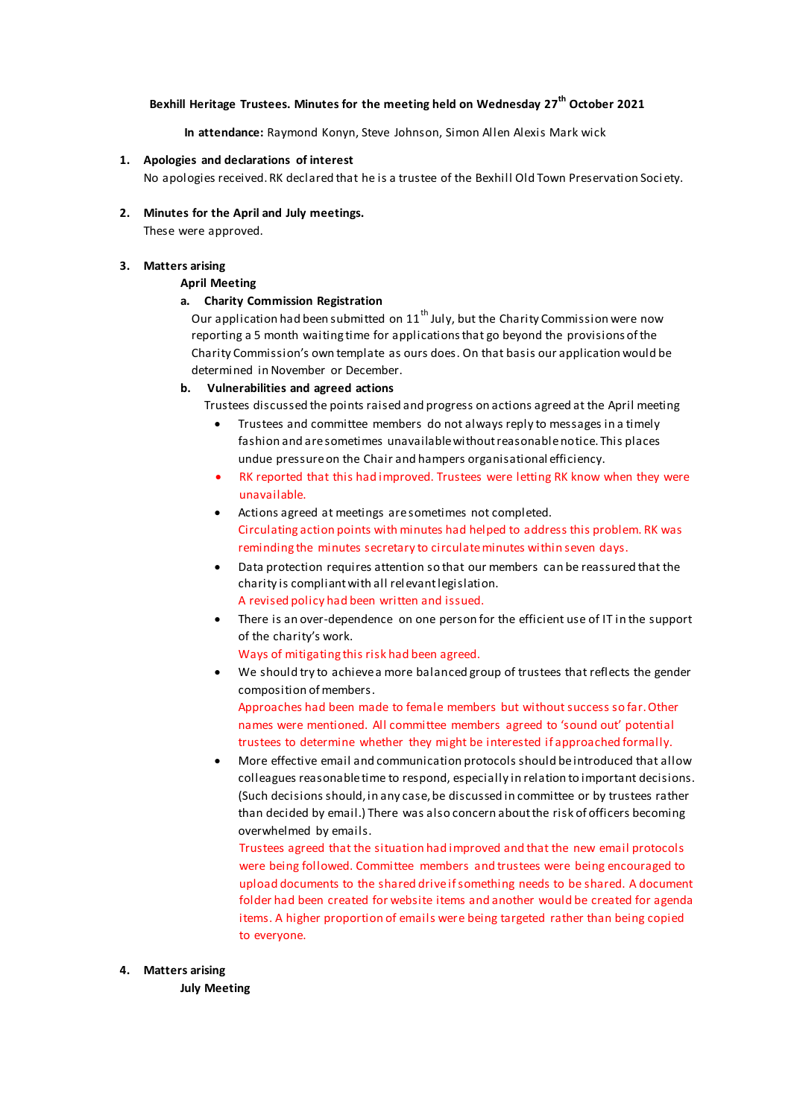# **Bexhill Heritage Trustees. Minutes for the meeting held on Wednesday 27th October 2021**

**In attendance:** Raymond Konyn, Steve Johnson, Simon Allen Alexis Mark wick

## **1. Apologies and declarations of interest**

No apologies received.RK declared that he is a trustee of the Bexhill Old Town Preservation Soci ety.

**2. Minutes for the April and July meetings.**

These were approved.

# **3. Matters arising**

## **April Meeting**

## **a. Charity Commission Registration**

Our application had been submitted on  $11<sup>th</sup>$  July, but the Charity Commission were now reporting a 5 month waiting time for applications that go beyond the provisions of the Charity Commission's own template as ours does. On that basis our application would be determined in November or December.

## **b. Vulnerabilities and agreed actions**

Trustees discussed the points raised and progress on actions agreed at the April meeting

- Trustees and committee members do not always reply to messages in a timely fashion and are sometimes unavailable without reasonable notice. This places undue pressure on the Chair and hampers organisational efficiency.
- RK reported that this had improved. Trustees were letting RK know when they were unavailable.
- Actions agreed at meetings are sometimes not completed. Circulating action points with minutes had helped to address this problem. RK was reminding the minutes secretary to circulate minutes within seven days.
- Data protection requires attention so that our members can be reassured that the charity is compliant with all relevant legislation. A revised policy had been written and issued.
- There is an over-dependence on one person for the efficient use of IT in the support of the charity's work.
	- Ways of mitigating this risk had been agreed.
- We should try to achieve a more balanced group of trustees that reflects the gender composition of members. Approaches had been made to female members but without success so far. Other names were mentioned. All committee members agreed to 'sound out' potential trustees to determine whether they might be interested if approached formally.
- More effective email and communication protocols should be introduced that allow colleagues reasonable time to respond, especially in relation to important decisions. (Such decisions should, in any case, be discussed in committee or by trustees rather than decided by email.) There was also concern about the risk of officers becoming overwhelmed by emails.

Trustees agreed that the situation had improved and that the new email protocols were being followed. Committee members and trustees were being encouraged to upload documents to the shared drive if something needs to be shared. A document folder had been created for website items and another would be created for agenda items. A higher proportion of emails were being targeted rather than being copied to everyone.

#### **4. Matters arising**

**July Meeting**